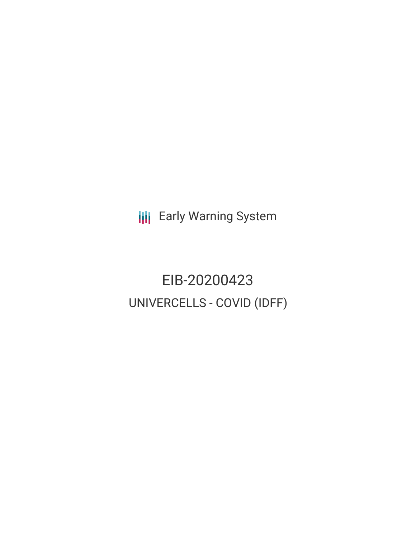**III** Early Warning System

EIB-20200423 UNIVERCELLS - COVID (IDFF)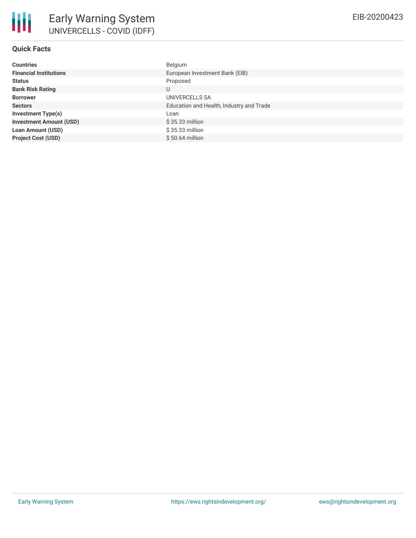| <b>Countries</b>               | Belgium                                  |
|--------------------------------|------------------------------------------|
| <b>Financial Institutions</b>  | European Investment Bank (EIB)           |
| <b>Status</b>                  | Proposed                                 |
| <b>Bank Risk Rating</b>        | U                                        |
| <b>Borrower</b>                | UNIVERCELLS SA                           |
| <b>Sectors</b>                 | Education and Health, Industry and Trade |
| <b>Investment Type(s)</b>      | Loan                                     |
| <b>Investment Amount (USD)</b> | $$35.33$ million                         |
| <b>Loan Amount (USD)</b>       | $$35.33$ million                         |
| <b>Project Cost (USD)</b>      | $$50.64$ million                         |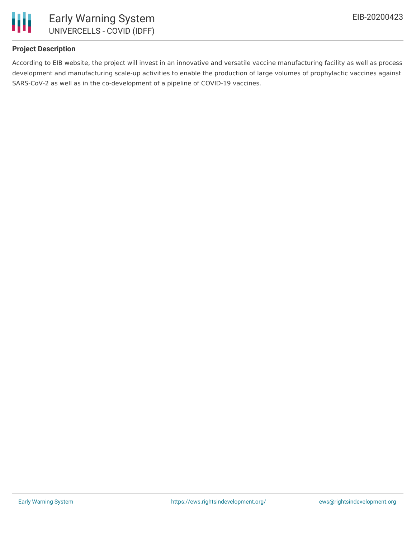

# **Project Description**

According to EIB website, the project will invest in an innovative and versatile vaccine manufacturing facility as well as process development and manufacturing scale-up activities to enable the production of large volumes of prophylactic vaccines against SARS-CoV-2 as well as in the co-development of a pipeline of COVID-19 vaccines.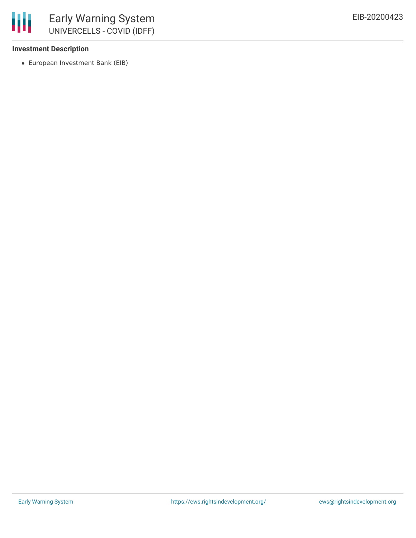

### **Investment Description**

European Investment Bank (EIB)